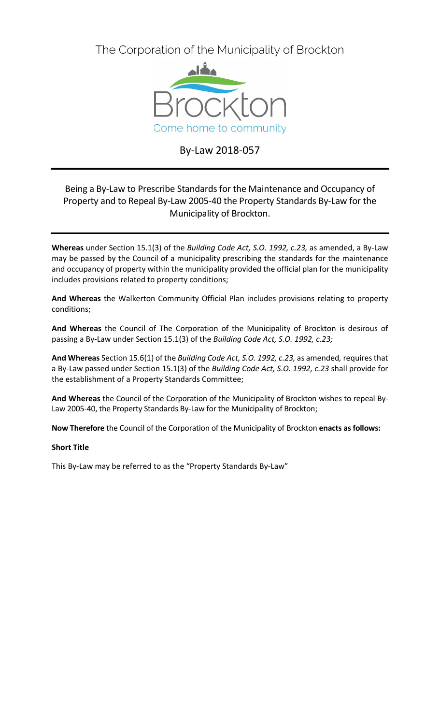The Corporation of the Municipality of Brockton



# By-Law 2018-057

# Being a By-Law to Prescribe Standards for the Maintenance and Occupancy of Property and to Repeal By-Law 2005-40 the Property Standards By-Law for the Municipality of Brockton.

**Whereas** under Section 15.1(3) of the *Building Code Act, S.O. 1992, c.23,* as amended, a By-Law may be passed by the Council of a municipality prescribing the standards for the maintenance and occupancy of property within the municipality provided the official plan for the municipality includes provisions related to property conditions;

**And Whereas** the Walkerton Community Official Plan includes provisions relating to property conditions;

**And Whereas** the Council of The Corporation of the Municipality of Brockton is desirous of passing a By-Law under Section 15.1(3) of the *Building Code Act, S.O. 1992, c.23;*

**And Whereas** Section 15.6(1) of the *Building Code Act, S.O. 1992, c.23,* as amended*,* requires that a By-Law passed under Section 15.1(3) of the *Building Code Act, S.O. 1992, c.23* shall provide for the establishment of a Property Standards Committee;

**And Whereas** the Council of the Corporation of the Municipality of Brockton wishes to repeal By-Law 2005-40, the Property Standards By-Law for the Municipality of Brockton;

**Now Therefore** the Council of the Corporation of the Municipality of Brockton **enacts as follows:**

# **Short Title**

This By-Law may be referred to as the "Property Standards By-Law"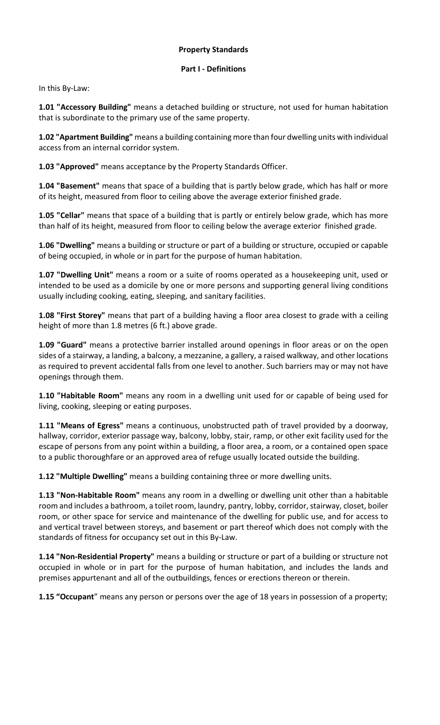## **Property Standards**

## **Part I - Definitions**

In this By-Law:

**1.01 "Accessory Building"** means a detached building or structure, not used for human habitation that is subordinate to the primary use of the same property.

**1.02 "Apartment Building"** means a building containing more than four dwelling units with individual access from an internal corridor system.

**1.03 "Approved"** means acceptance by the Property Standards Officer.

**1.04 "Basement"** means that space of a building that is partly below grade, which has half or more of its height, measured from floor to ceiling above the average exterior finished grade.

**1.05 "Cellar"** means that space of a building that is partly or entirely below grade, which has more than half of its height, measured from floor to ceiling below the average exterior finished grade.

**1.06 "Dwelling"** means a building or structure or part of a building or structure, occupied or capable of being occupied, in whole or in part for the purpose of human habitation.

**1.07 "Dwelling Unit"** means a room or a suite of rooms operated as a housekeeping unit, used or intended to be used as a domicile by one or more persons and supporting general living conditions usually including cooking, eating, sleeping, and sanitary facilities.

**1.08 "First Storey"** means that part of a building having a floor area closest to grade with a ceiling height of more than 1.8 metres (6 ft.) above grade.

**1.09 "Guard"** means a protective barrier installed around openings in floor areas or on the open sides of a stairway, a landing, a balcony, a mezzanine, a gallery, a raised walkway, and other locations as required to prevent accidental falls from one level to another. Such barriers may or may not have openings through them.

**1.10 "Habitable Room"** means any room in a dwelling unit used for or capable of being used for living, cooking, sleeping or eating purposes.

**1.11 "Means of Egress"** means a continuous, unobstructed path of travel provided by a doorway, hallway, corridor, exterior passage way, balcony, lobby, stair, ramp, or other exit facility used for the escape of persons from any point within a building, a floor area, a room, or a contained open space to a public thoroughfare or an approved area of refuge usually located outside the building.

**1.12 "Multiple Dwelling"** means a building containing three or more dwelling units.

**1.13 "Non-Habitable Room"** means any room in a dwelling or dwelling unit other than a habitable room and includes a bathroom, a toilet room, laundry, pantry, lobby, corridor, stairway, closet, boiler room, or other space for service and maintenance of the dwelling for public use, and for access to and vertical travel between storeys, and basement or part thereof which does not comply with the standards of fitness for occupancy set out in this By-Law.

**1.14 "Non-Residential Property"** means a building or structure or part of a building or structure not occupied in whole or in part for the purpose of human habitation, and includes the lands and premises appurtenant and all of the outbuildings, fences or erections thereon or therein.

**1.15 "Occupant**" means any person or persons over the age of 18 years in possession of a property;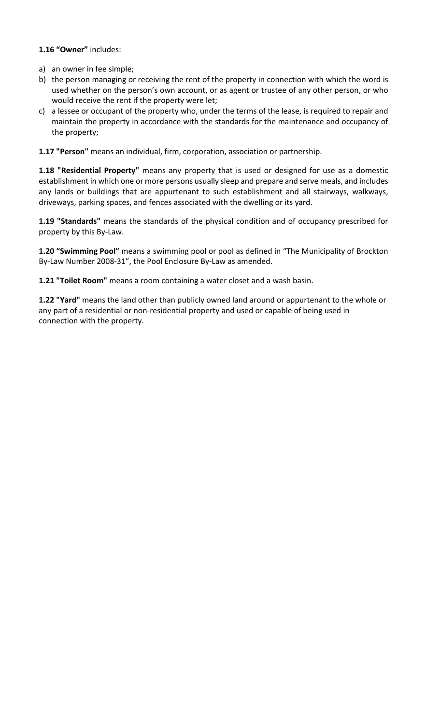# **1.16 "Owner"** includes:

- a) an owner in fee simple;
- b) the person managing or receiving the rent of the property in connection with which the word is used whether on the person's own account, or as agent or trustee of any other person, or who would receive the rent if the property were let;
- c) a lessee or occupant of the property who, under the terms of the lease, is required to repair and maintain the property in accordance with the standards for the maintenance and occupancy of the property;

**1.17 "Person"** means an individual, firm, corporation, association or partnership.

**1.18 "Residential Property"** means any property that is used or designed for use as a domestic establishment in which one or more persons usually sleep and prepare and serve meals, and includes any lands or buildings that are appurtenant to such establishment and all stairways, walkways, driveways, parking spaces, and fences associated with the dwelling or its yard.

**1.19 "Standards"** means the standards of the physical condition and of occupancy prescribed for property by this By-Law.

**1.20 "Swimming Pool"** means a swimming pool or pool as defined in "The Municipality of Brockton By-Law Number 2008-31", the Pool Enclosure By-Law as amended.

**1.21 "Toilet Room"** means a room containing a water closet and a wash basin.

**1.22 "Yard"** means the land other than publicly owned land around or appurtenant to the whole or any part of a residential or non-residential property and used or capable of being used in connection with the property.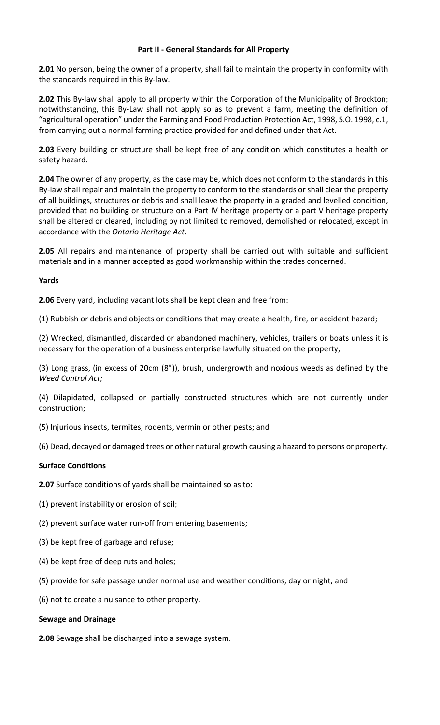## **Part II - General Standards for All Property**

**2.01** No person, being the owner of a property, shall fail to maintain the property in conformity with the standards required in this By-law.

**2.02** This By-law shall apply to all property within the Corporation of the Municipality of Brockton; notwithstanding, this By-Law shall not apply so as to prevent a farm, meeting the definition of "agricultural operation" under the Farming and Food Production Protection Act, 1998, S.O. 1998, c.1, from carrying out a normal farming practice provided for and defined under that Act.

**2.03** Every building or structure shall be kept free of any condition which constitutes a health or safety hazard.

**2.04** The owner of any property, as the case may be, which does not conform to the standards in this By-law shall repair and maintain the property to conform to the standards or shall clear the property of all buildings, structures or debris and shall leave the property in a graded and levelled condition, provided that no building or structure on a Part IV heritage property or a part V heritage property shall be altered or cleared, including by not limited to removed, demolished or relocated, except in accordance with the *Ontario Heritage Act*.

**2.05** All repairs and maintenance of property shall be carried out with suitable and sufficient materials and in a manner accepted as good workmanship within the trades concerned.

# **Yards**

**2.06** Every yard, including vacant lots shall be kept clean and free from:

(1) Rubbish or debris and objects or conditions that may create a health, fire, or accident hazard;

(2) Wrecked, dismantled, discarded or abandoned machinery, vehicles, trailers or boats unless it is necessary for the operation of a business enterprise lawfully situated on the property;

(3) Long grass, (in excess of 20cm (8")), brush, undergrowth and noxious weeds as defined by the *Weed Control Act;*

(4) Dilapidated, collapsed or partially constructed structures which are not currently under construction;

- (5) Injurious insects, termites, rodents, vermin or other pests; and
- (6) Dead, decayed or damaged trees or other natural growth causing a hazard to persons or property.

# **Surface Conditions**

**2.07** Surface conditions of yards shall be maintained so as to:

- (1) prevent instability or erosion of soil;
- (2) prevent surface water run-off from entering basements;
- (3) be kept free of garbage and refuse;
- (4) be kept free of deep ruts and holes;
- (5) provide for safe passage under normal use and weather conditions, day or night; and
- (6) not to create a nuisance to other property.

## **Sewage and Drainage**

**2.08** Sewage shall be discharged into a sewage system.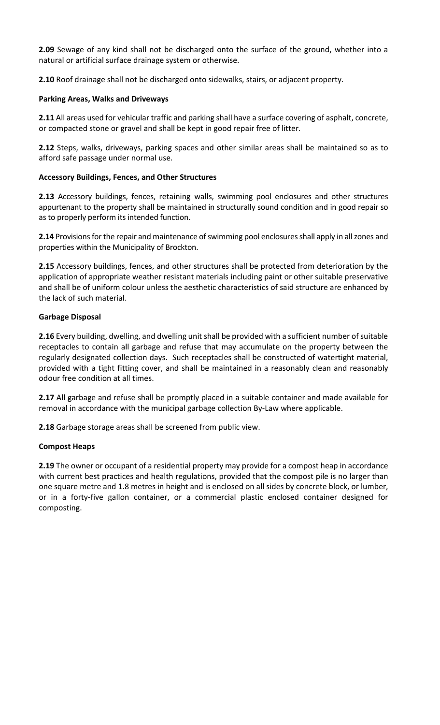**2.09** Sewage of any kind shall not be discharged onto the surface of the ground, whether into a natural or artificial surface drainage system or otherwise.

**2.10** Roof drainage shall not be discharged onto sidewalks, stairs, or adjacent property.

## **Parking Areas, Walks and Driveways**

**2.11** All areas used for vehicular traffic and parking shall have a surface covering of asphalt, concrete, or compacted stone or gravel and shall be kept in good repair free of litter.

**2.12** Steps, walks, driveways, parking spaces and other similar areas shall be maintained so as to afford safe passage under normal use.

# **Accessory Buildings, Fences, and Other Structures**

**2.13** Accessory buildings, fences, retaining walls, swimming pool enclosures and other structures appurtenant to the property shall be maintained in structurally sound condition and in good repair so as to properly perform its intended function.

**2.14** Provisions for the repair and maintenance of swimming pool enclosures shall apply in all zones and properties within the Municipality of Brockton.

**2.15** Accessory buildings, fences, and other structures shall be protected from deterioration by the application of appropriate weather resistant materials including paint or other suitable preservative and shall be of uniform colour unless the aesthetic characteristics of said structure are enhanced by the lack of such material.

# **Garbage Disposal**

**2.16** Every building, dwelling, and dwelling unit shall be provided with a sufficient number of suitable receptacles to contain all garbage and refuse that may accumulate on the property between the regularly designated collection days. Such receptacles shall be constructed of watertight material, provided with a tight fitting cover, and shall be maintained in a reasonably clean and reasonably odour free condition at all times.

**2.17** All garbage and refuse shall be promptly placed in a suitable container and made available for removal in accordance with the municipal garbage collection By-Law where applicable.

**2.18** Garbage storage areas shall be screened from public view.

## **Compost Heaps**

**2.19** The owner or occupant of a residential property may provide for a compost heap in accordance with current best practices and health regulations, provided that the compost pile is no larger than one square metre and 1.8 metres in height and is enclosed on all sides by concrete block, or lumber, or in a forty-five gallon container, or a commercial plastic enclosed container designed for composting.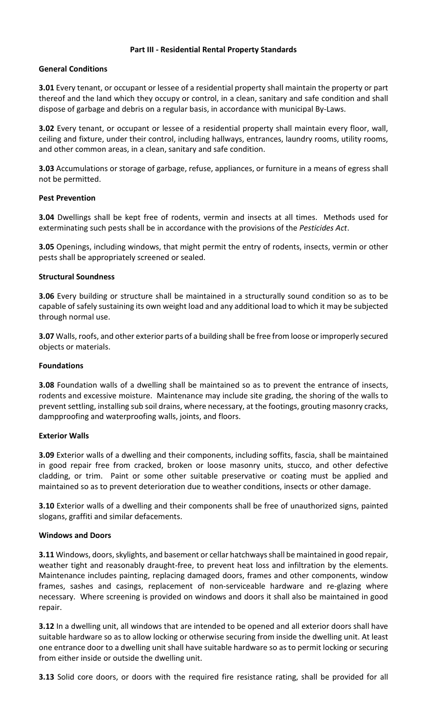#### **Part III - Residential Rental Property Standards**

#### **General Conditions**

**3.01** Every tenant, or occupant or lessee of a residential property shall maintain the property or part thereof and the land which they occupy or control, in a clean, sanitary and safe condition and shall dispose of garbage and debris on a regular basis, in accordance with municipal By-Laws.

**3.02** Every tenant, or occupant or lessee of a residential property shall maintain every floor, wall, ceiling and fixture, under their control, including hallways, entrances, laundry rooms, utility rooms, and other common areas, in a clean, sanitary and safe condition.

**3.03** Accumulations or storage of garbage, refuse, appliances, or furniture in a means of egress shall not be permitted.

#### **Pest Prevention**

**3.04** Dwellings shall be kept free of rodents, vermin and insects at all times. Methods used for exterminating such pests shall be in accordance with the provisions of the *Pesticides Act*.

**3.05** Openings, including windows, that might permit the entry of rodents, insects, vermin or other pests shall be appropriately screened or sealed.

#### **Structural Soundness**

**3.06** Every building or structure shall be maintained in a structurally sound condition so as to be capable of safely sustaining its own weight load and any additional load to which it may be subjected through normal use.

**3.07** Walls, roofs, and other exterior parts of a building shall be free from loose or improperly secured objects or materials.

#### **Foundations**

**3.08** Foundation walls of a dwelling shall be maintained so as to prevent the entrance of insects, rodents and excessive moisture. Maintenance may include site grading, the shoring of the walls to prevent settling, installing sub soil drains, where necessary, at the footings, grouting masonry cracks, dampproofing and waterproofing walls, joints, and floors.

#### **Exterior Walls**

**3.09** Exterior walls of a dwelling and their components, including soffits, fascia, shall be maintained in good repair free from cracked, broken or loose masonry units, stucco, and other defective cladding, or trim. Paint or some other suitable preservative or coating must be applied and maintained so as to prevent deterioration due to weather conditions, insects or other damage.

**3.10** Exterior walls of a dwelling and their components shall be free of unauthorized signs, painted slogans, graffiti and similar defacements.

#### **Windows and Doors**

**3.11** Windows, doors, skylights, and basement or cellar hatchways shall be maintained in good repair, weather tight and reasonably draught-free, to prevent heat loss and infiltration by the elements. Maintenance includes painting, replacing damaged doors, frames and other components, window frames, sashes and casings, replacement of non-serviceable hardware and re-glazing where necessary. Where screening is provided on windows and doors it shall also be maintained in good repair.

**3.12** In a dwelling unit, all windows that are intended to be opened and all exterior doors shall have suitable hardware so as to allow locking or otherwise securing from inside the dwelling unit. At least one entrance door to a dwelling unit shall have suitable hardware so as to permit locking or securing from either inside or outside the dwelling unit.

**3.13** Solid core doors, or doors with the required fire resistance rating, shall be provided for all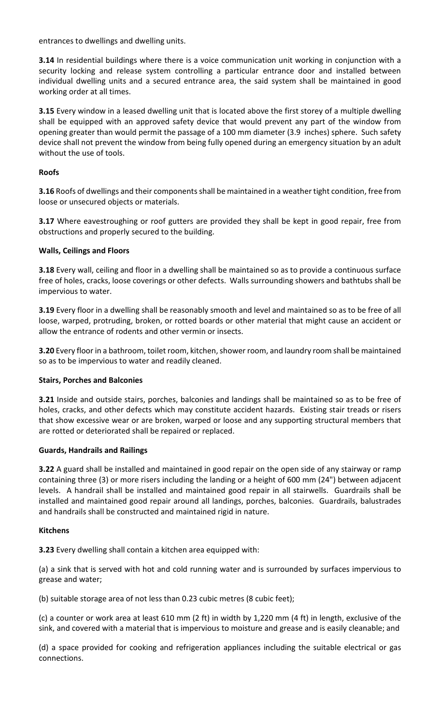entrances to dwellings and dwelling units.

**3.14** In residential buildings where there is a voice communication unit working in conjunction with a security locking and release system controlling a particular entrance door and installed between individual dwelling units and a secured entrance area, the said system shall be maintained in good working order at all times.

**3.15** Every window in a leased dwelling unit that is located above the first storey of a multiple dwelling shall be equipped with an approved safety device that would prevent any part of the window from opening greater than would permit the passage of a 100 mm diameter (3.9 inches) sphere. Such safety device shall not prevent the window from being fully opened during an emergency situation by an adult without the use of tools.

# **Roofs**

**3.16** Roofs of dwellings and their components shall be maintained in a weather tight condition, free from loose or unsecured objects or materials.

**3.17** Where eavestroughing or roof gutters are provided they shall be kept in good repair, free from obstructions and properly secured to the building.

# **Walls, Ceilings and Floors**

**3.18** Every wall, ceiling and floor in a dwelling shall be maintained so as to provide a continuous surface free of holes, cracks, loose coverings or other defects. Walls surrounding showers and bathtubs shall be impervious to water.

**3.19** Every floor in a dwelling shall be reasonably smooth and level and maintained so as to be free of all loose, warped, protruding, broken, or rotted boards or other material that might cause an accident or allow the entrance of rodents and other vermin or insects.

**3.20** Every floor in a bathroom, toilet room, kitchen, shower room, and laundry room shall be maintained so as to be impervious to water and readily cleaned.

# **Stairs, Porches and Balconies**

**3.21** Inside and outside stairs, porches, balconies and landings shall be maintained so as to be free of holes, cracks, and other defects which may constitute accident hazards. Existing stair treads or risers that show excessive wear or are broken, warped or loose and any supporting structural members that are rotted or deteriorated shall be repaired or replaced.

## **Guards, Handrails and Railings**

**3.22** A guard shall be installed and maintained in good repair on the open side of any stairway or ramp containing three (3) or more risers including the landing or a height of 600 mm (24") between adjacent levels. A handrail shall be installed and maintained good repair in all stairwells. Guardrails shall be installed and maintained good repair around all landings, porches, balconies. Guardrails, balustrades and handrails shall be constructed and maintained rigid in nature.

## **Kitchens**

**3.23** Every dwelling shall contain a kitchen area equipped with:

(a) a sink that is served with hot and cold running water and is surrounded by surfaces impervious to grease and water;

(b) suitable storage area of not less than 0.23 cubic metres (8 cubic feet);

(c) a counter or work area at least 610 mm (2 ft) in width by 1,220 mm (4 ft) in length, exclusive of the sink, and covered with a material that is impervious to moisture and grease and is easily cleanable; and

(d) a space provided for cooking and refrigeration appliances including the suitable electrical or gas connections.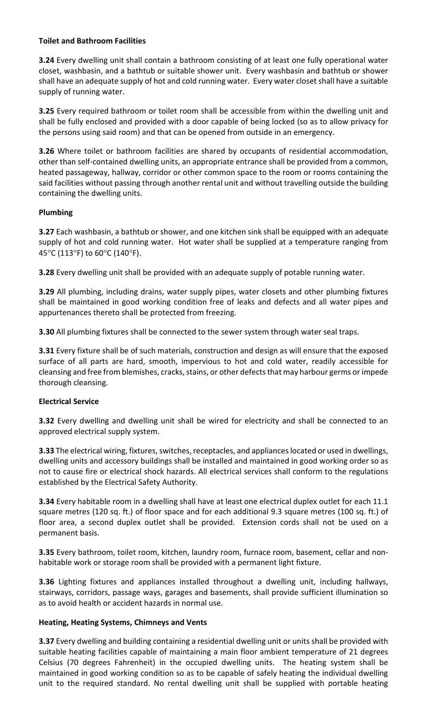# **Toilet and Bathroom Facilities**

**3.24** Every dwelling unit shall contain a bathroom consisting of at least one fully operational water closet, washbasin, and a bathtub or suitable shower unit. Every washbasin and bathtub or shower shall have an adequate supply of hot and cold running water. Every water closet shall have a suitable supply of running water.

**3.25** Every required bathroom or toilet room shall be accessible from within the dwelling unit and shall be fully enclosed and provided with a door capable of being locked (so as to allow privacy for the persons using said room) and that can be opened from outside in an emergency.

**3.26** Where toilet or bathroom facilities are shared by occupants of residential accommodation, other than self-contained dwelling units, an appropriate entrance shall be provided from a common, heated passageway, hallway, corridor or other common space to the room or rooms containing the said facilities without passing through another rental unit and without travelling outside the building containing the dwelling units.

# **Plumbing**

**3.27** Each washbasin, a bathtub or shower, and one kitchen sink shall be equipped with an adequate supply of hot and cold running water. Hot water shall be supplied at a temperature ranging from 45°C (113°F) to 60°C (140°F).

**3.28** Every dwelling unit shall be provided with an adequate supply of potable running water.

**3.29** All plumbing, including drains, water supply pipes, water closets and other plumbing fixtures shall be maintained in good working condition free of leaks and defects and all water pipes and appurtenances thereto shall be protected from freezing.

**3.30** All plumbing fixtures shall be connected to the sewer system through water seal traps.

**3.31** Every fixture shall be of such materials, construction and design as will ensure that the exposed surface of all parts are hard, smooth, impervious to hot and cold water, readily accessible for cleansing and free from blemishes, cracks, stains, or other defects that may harbour germs or impede thorough cleansing.

# **Electrical Service**

**3.32** Every dwelling and dwelling unit shall be wired for electricity and shall be connected to an approved electrical supply system.

**3.33** The electrical wiring, fixtures, switches, receptacles, and appliances located or used in dwellings, dwelling units and accessory buildings shall be installed and maintained in good working order so as not to cause fire or electrical shock hazards. All electrical services shall conform to the regulations established by the Electrical Safety Authority.

**3.34** Every habitable room in a dwelling shall have at least one electrical duplex outlet for each 11.1 square metres (120 sq. ft.) of floor space and for each additional 9.3 square metres (100 sq. ft.) of floor area, a second duplex outlet shall be provided. Extension cords shall not be used on a permanent basis.

**3.35** Every bathroom, toilet room, kitchen, laundry room, furnace room, basement, cellar and nonhabitable work or storage room shall be provided with a permanent light fixture.

**3.36** Lighting fixtures and appliances installed throughout a dwelling unit, including hallways, stairways, corridors, passage ways, garages and basements, shall provide sufficient illumination so as to avoid health or accident hazards in normal use.

## **Heating, Heating Systems, Chimneys and Vents**

**3.37** Every dwelling and building containing a residential dwelling unit or units shall be provided with suitable heating facilities capable of maintaining a main floor ambient temperature of 21 degrees Celsius (70 degrees Fahrenheit) in the occupied dwelling units. The heating system shall be maintained in good working condition so as to be capable of safely heating the individual dwelling unit to the required standard. No rental dwelling unit shall be supplied with portable heating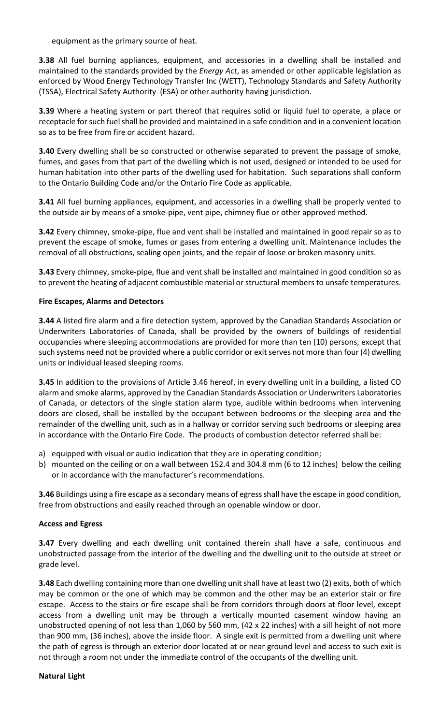equipment as the primary source of heat.

**3.38** All fuel burning appliances, equipment, and accessories in a dwelling shall be installed and maintained to the standards provided by the *Energy Act*, as amended or other applicable legislation as enforced by Wood Energy Technology Transfer Inc (WETT), Technology Standards and Safety Authority (TSSA), Electrical Safety Authority (ESA) or other authority having jurisdiction.

**3.39** Where a heating system or part thereof that requires solid or liquid fuel to operate, a place or receptacle for such fuel shall be provided and maintained in a safe condition and in a convenient location so as to be free from fire or accident hazard.

**3.40** Every dwelling shall be so constructed or otherwise separated to prevent the passage of smoke, fumes, and gases from that part of the dwelling which is not used, designed or intended to be used for human habitation into other parts of the dwelling used for habitation. Such separations shall conform to the Ontario Building Code and/or the Ontario Fire Code as applicable.

**3.41** All fuel burning appliances, equipment, and accessories in a dwelling shall be properly vented to the outside air by means of a smoke-pipe, vent pipe, chimney flue or other approved method.

**3.42** Every chimney, smoke-pipe, flue and vent shall be installed and maintained in good repair so as to prevent the escape of smoke, fumes or gases from entering a dwelling unit. Maintenance includes the removal of all obstructions, sealing open joints, and the repair of loose or broken masonry units.

**3.43** Every chimney, smoke-pipe, flue and vent shall be installed and maintained in good condition so as to prevent the heating of adjacent combustible material or structural members to unsafe temperatures.

# **Fire Escapes, Alarms and Detectors**

**3.44** A listed fire alarm and a fire detection system, approved by the Canadian Standards Association or Underwriters Laboratories of Canada, shall be provided by the owners of buildings of residential occupancies where sleeping accommodations are provided for more than ten (10) persons, except that such systems need not be provided where a public corridor or exit serves not more than four (4) dwelling units or individual leased sleeping rooms.

**3.45** In addition to the provisions of Article 3.46 hereof, in every dwelling unit in a building, a listed CO alarm and smoke alarms, approved by the Canadian Standards Association or Underwriters Laboratories of Canada, or detectors of the single station alarm type, audible within bedrooms when intervening doors are closed, shall be installed by the occupant between bedrooms or the sleeping area and the remainder of the dwelling unit, such as in a hallway or corridor serving such bedrooms or sleeping area in accordance with the Ontario Fire Code. The products of combustion detector referred shall be:

- a) equipped with visual or audio indication that they are in operating condition;
- b) mounted on the ceiling or on a wall between 152.4 and 304.8 mm (6 to 12 inches) below the ceiling or in accordance with the manufacturer's recommendations.

**3.46** Buildings using a fire escape as a secondary means of egress shall have the escape in good condition, free from obstructions and easily reached through an openable window or door.

## **Access and Egress**

**3.47** Every dwelling and each dwelling unit contained therein shall have a safe, continuous and unobstructed passage from the interior of the dwelling and the dwelling unit to the outside at street or grade level.

**3.48** Each dwelling containing more than one dwelling unit shall have at least two (2) exits, both of which may be common or the one of which may be common and the other may be an exterior stair or fire escape. Access to the stairs or fire escape shall be from corridors through doors at floor level, except access from a dwelling unit may be through a vertically mounted casement window having an unobstructed opening of not less than 1,060 by 560 mm, (42 x 22 inches) with a sill height of not more than 900 mm, (36 inches), above the inside floor. A single exit is permitted from a dwelling unit where the path of egress is through an exterior door located at or near ground level and access to such exit is not through a room not under the immediate control of the occupants of the dwelling unit.

## **Natural Light**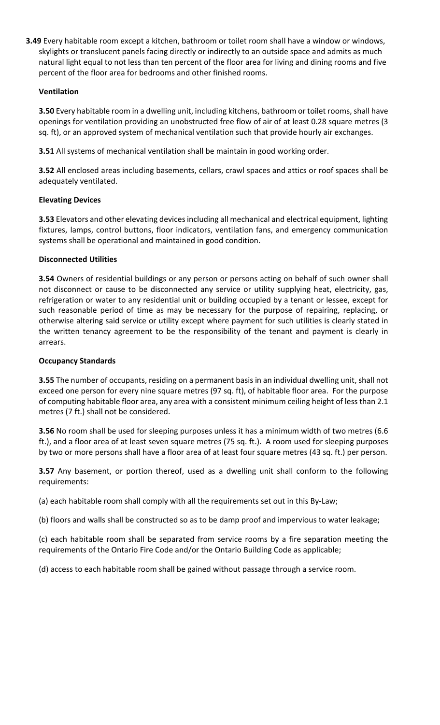**3.49** Every habitable room except a kitchen, bathroom or toilet room shall have a window or windows, skylights or translucent panels facing directly or indirectly to an outside space and admits as much natural light equal to not less than ten percent of the floor area for living and dining rooms and five percent of the floor area for bedrooms and other finished rooms.

# **Ventilation**

**3.50** Every habitable room in a dwelling unit, including kitchens, bathroom or toilet rooms, shall have openings for ventilation providing an unobstructed free flow of air of at least 0.28 square metres (3 sq. ft), or an approved system of mechanical ventilation such that provide hourly air exchanges.

**3.51** All systems of mechanical ventilation shall be maintain in good working order.

**3.52** All enclosed areas including basements, cellars, crawl spaces and attics or roof spaces shall be adequately ventilated.

# **Elevating Devices**

**3.53** Elevators and other elevating devices including all mechanical and electrical equipment, lighting fixtures, lamps, control buttons, floor indicators, ventilation fans, and emergency communication systems shall be operational and maintained in good condition.

# **Disconnected Utilities**

**3.54** Owners of residential buildings or any person or persons acting on behalf of such owner shall not disconnect or cause to be disconnected any service or utility supplying heat, electricity, gas, refrigeration or water to any residential unit or building occupied by a tenant or lessee, except for such reasonable period of time as may be necessary for the purpose of repairing, replacing, or otherwise altering said service or utility except where payment for such utilities is clearly stated in the written tenancy agreement to be the responsibility of the tenant and payment is clearly in arrears.

## **Occupancy Standards**

**3.55** The number of occupants, residing on a permanent basis in an individual dwelling unit, shall not exceed one person for every nine square metres (97 sq. ft), of habitable floor area. For the purpose of computing habitable floor area, any area with a consistent minimum ceiling height of less than 2.1 metres (7 ft.) shall not be considered.

**3.56** No room shall be used for sleeping purposes unless it has a minimum width of two metres (6.6 ft.), and a floor area of at least seven square metres (75 sq. ft.). A room used for sleeping purposes by two or more persons shall have a floor area of at least four square metres (43 sq. ft.) per person.

**3.57** Any basement, or portion thereof, used as a dwelling unit shall conform to the following requirements:

(a) each habitable room shall comply with all the requirements set out in this By-Law;

(b) floors and walls shall be constructed so as to be damp proof and impervious to water leakage;

(c) each habitable room shall be separated from service rooms by a fire separation meeting the requirements of the Ontario Fire Code and/or the Ontario Building Code as applicable;

(d) access to each habitable room shall be gained without passage through a service room.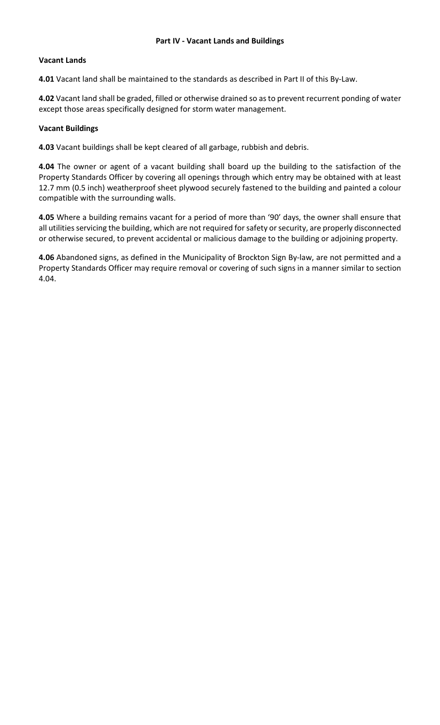## **Vacant Lands**

**4.01** Vacant land shall be maintained to the standards as described in Part II of this By-Law.

**4.02** Vacant land shall be graded, filled or otherwise drained so as to prevent recurrent ponding of water except those areas specifically designed for storm water management.

#### **Vacant Buildings**

**4.03** Vacant buildings shall be kept cleared of all garbage, rubbish and debris.

**4.04** The owner or agent of a vacant building shall board up the building to the satisfaction of the Property Standards Officer by covering all openings through which entry may be obtained with at least 12.7 mm (0.5 inch) weatherproof sheet plywood securely fastened to the building and painted a colour compatible with the surrounding walls.

**4.05** Where a building remains vacant for a period of more than '90' days, the owner shall ensure that all utilities servicing the building, which are not required for safety or security, are properly disconnected or otherwise secured, to prevent accidental or malicious damage to the building or adjoining property.

**4.06** Abandoned signs, as defined in the Municipality of Brockton Sign By-law, are not permitted and a Property Standards Officer may require removal or covering of such signs in a manner similar to section 4.04.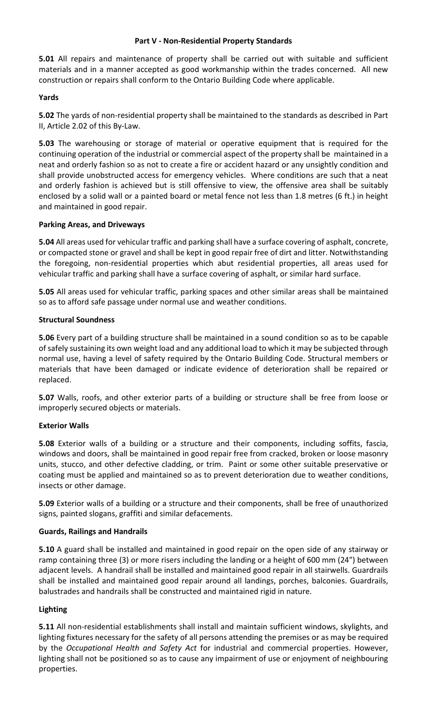## **Part V - Non-Residential Property Standards**

**5.01** All repairs and maintenance of property shall be carried out with suitable and sufficient materials and in a manner accepted as good workmanship within the trades concerned. All new construction or repairs shall conform to the Ontario Building Code where applicable.

## **Yards**

**5.02** The yards of non-residential property shall be maintained to the standards as described in Part II, Article 2.02 of this By-Law.

**5.03** The warehousing or storage of material or operative equipment that is required for the continuing operation of the industrial or commercial aspect of the property shall be maintained in a neat and orderly fashion so as not to create a fire or accident hazard or any unsightly condition and shall provide unobstructed access for emergency vehicles. Where conditions are such that a neat and orderly fashion is achieved but is still offensive to view, the offensive area shall be suitably enclosed by a solid wall or a painted board or metal fence not less than 1.8 metres (6 ft.) in height and maintained in good repair.

#### **Parking Areas, and Driveways**

**5.04** All areas used for vehicular traffic and parking shall have a surface covering of asphalt, concrete, or compacted stone or gravel and shall be kept in good repair free of dirt and litter. Notwithstanding the foregoing, non-residential properties which abut residential properties, all areas used for vehicular traffic and parking shall have a surface covering of asphalt, or similar hard surface.

**5.05** All areas used for vehicular traffic, parking spaces and other similar areas shall be maintained so as to afford safe passage under normal use and weather conditions.

## **Structural Soundness**

**5.06** Every part of a building structure shall be maintained in a sound condition so as to be capable of safely sustaining its own weight load and any additional load to which it may be subjected through normal use, having a level of safety required by the Ontario Building Code. Structural members or materials that have been damaged or indicate evidence of deterioration shall be repaired or replaced.

**5.07** Walls, roofs, and other exterior parts of a building or structure shall be free from loose or improperly secured objects or materials.

## **Exterior Walls**

**5.08** Exterior walls of a building or a structure and their components, including soffits, fascia, windows and doors, shall be maintained in good repair free from cracked, broken or loose masonry units, stucco, and other defective cladding, or trim. Paint or some other suitable preservative or coating must be applied and maintained so as to prevent deterioration due to weather conditions, insects or other damage.

**5.09** Exterior walls of a building or a structure and their components, shall be free of unauthorized signs, painted slogans, graffiti and similar defacements.

#### **Guards, Railings and Handrails**

**5.10** A guard shall be installed and maintained in good repair on the open side of any stairway or ramp containing three (3) or more risers including the landing or a height of 600 mm (24") between adjacent levels. A handrail shall be installed and maintained good repair in all stairwells. Guardrails shall be installed and maintained good repair around all landings, porches, balconies. Guardrails, balustrades and handrails shall be constructed and maintained rigid in nature.

## **Lighting**

**5.11** All non-residential establishments shall install and maintain sufficient windows, skylights, and lighting fixtures necessary for the safety of all persons attending the premises or as may be required by the *Occupational Health and Safety Act* for industrial and commercial properties. However, lighting shall not be positioned so as to cause any impairment of use or enjoyment of neighbouring properties.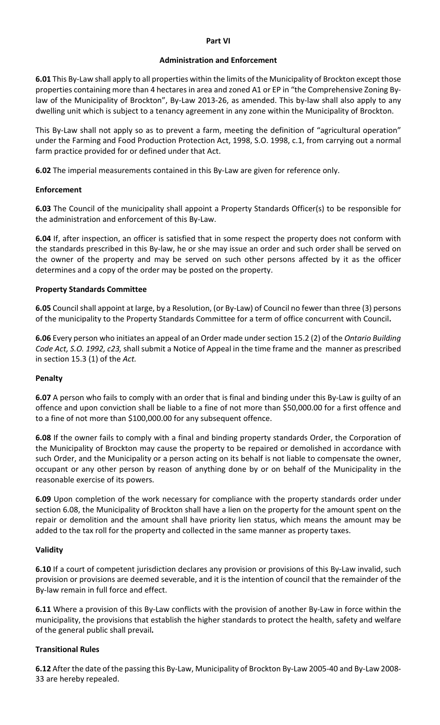#### **Part VI**

#### **Administration and Enforcement**

**6.01** This By-Law shall apply to all properties within the limits of the Municipality of Brockton except those properties containing more than 4 hectares in area and zoned A1 or EP in "the Comprehensive Zoning Bylaw of the Municipality of Brockton", By-Law 2013-26, as amended. This by-law shall also apply to any dwelling unit which is subject to a tenancy agreement in any zone within the Municipality of Brockton.

This By-Law shall not apply so as to prevent a farm, meeting the definition of "agricultural operation" under the Farming and Food Production Protection Act, 1998, S.O. 1998, c.1, from carrying out a normal farm practice provided for or defined under that Act.

**6.02** The imperial measurements contained in this By-Law are given for reference only.

## **Enforcement**

**6.03** The Council of the municipality shall appoint a Property Standards Officer(s) to be responsible for the administration and enforcement of this By-Law.

**6.04** If, after inspection, an officer is satisfied that in some respect the property does not conform with the standards prescribed in this By-law, he or she may issue an order and such order shall be served on the owner of the property and may be served on such other persons affected by it as the officer determines and a copy of the order may be posted on the property.

# **Property Standards Committee**

**6.05** Council shall appoint at large, by a Resolution, (or By-Law) of Council no fewer than three (3) persons of the municipality to the Property Standards Committee for a term of office concurrent with Council**.**

**6.06** Every person who initiates an appeal of an Order made under section 15.2 (2) of the *Ontario Building Code Act, S.O. 1992, c23,* shall submit a Notice of Appeal in the time frame and the manner as prescribed in section 15.3 (1) of the *Act.*

## **Penalty**

**6.07** A person who fails to comply with an order that is final and binding under this By-Law is guilty of an offence and upon conviction shall be liable to a fine of not more than \$50,000.00 for a first offence and to a fine of not more than \$100,000.00 for any subsequent offence.

**6.08** If the owner fails to comply with a final and binding property standards Order, the Corporation of the Municipality of Brockton may cause the property to be repaired or demolished in accordance with such Order, and the Municipality or a person acting on its behalf is not liable to compensate the owner, occupant or any other person by reason of anything done by or on behalf of the Municipality in the reasonable exercise of its powers.

**6.09** Upon completion of the work necessary for compliance with the property standards order under section 6.08, the Municipality of Brockton shall have a lien on the property for the amount spent on the repair or demolition and the amount shall have priority lien status, which means the amount may be added to the tax roll for the property and collected in the same manner as property taxes.

## **Validity**

**6.10** If a court of competent jurisdiction declares any provision or provisions of this By-Law invalid, such provision or provisions are deemed severable, and it is the intention of council that the remainder of the By-law remain in full force and effect.

**6.11** Where a provision of this By-Law conflicts with the provision of another By-Law in force within the municipality, the provisions that establish the higher standards to protect the health, safety and welfare of the general public shall prevail**.**

# **Transitional Rules**

**6.12** After the date of the passing this By-Law, Municipality of Brockton By-Law 2005-40 and By-Law 2008- 33 are hereby repealed.